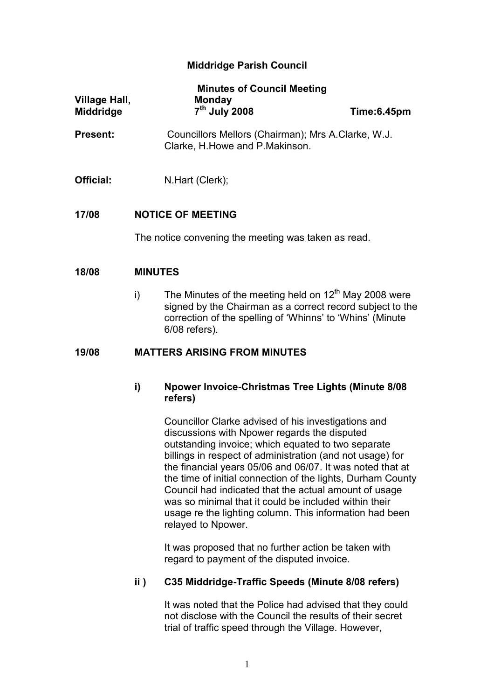# Middridge Parish Council

| <b>Village Hall,</b><br><b>Middridge</b> | <b>Minutes of Council Meeting</b><br><b>Monday</b><br>7 <sup>th</sup> July 2008                                                                                                                          | Time:6.45pm                                        |  |
|------------------------------------------|----------------------------------------------------------------------------------------------------------------------------------------------------------------------------------------------------------|----------------------------------------------------|--|
| <b>Present:</b>                          | Clarke, H. Howe and P. Makinson.                                                                                                                                                                         | Councillors Mellors (Chairman); Mrs A.Clarke, W.J. |  |
| Official:                                | N.Hart (Clerk);                                                                                                                                                                                          |                                                    |  |
| 17/08                                    | <b>NOTICE OF MEETING</b>                                                                                                                                                                                 |                                                    |  |
|                                          | The notice convening the meeting was taken as read.                                                                                                                                                      |                                                    |  |
| 18/08                                    | <b>MINUTES</b>                                                                                                                                                                                           |                                                    |  |
|                                          | The Minutes of the meeting held on $12th$ May 2008 were<br>i)<br>signed by the Chairman as a correct record subject to the<br>correction of the spelling of 'Whinns' to 'Whins' (Minute<br>6/08 refers). |                                                    |  |

## 19/08 MATTERS ARISING FROM MINUTES

# i) Npower Invoice-Christmas Tree Lights (Minute 8/08 refers)

 Councillor Clarke advised of his investigations and discussions with Npower regards the disputed outstanding invoice; which equated to two separate billings in respect of administration (and not usage) for the financial years 05/06 and 06/07. It was noted that at the time of initial connection of the lights, Durham County Council had indicated that the actual amount of usage was so minimal that it could be included within their usage re the lighting column. This information had been relayed to Npower.

 It was proposed that no further action be taken with regard to payment of the disputed invoice.

# ii ) C35 Middridge-Traffic Speeds (Minute 8/08 refers)

It was noted that the Police had advised that they could not disclose with the Council the results of their secret trial of traffic speed through the Village. However,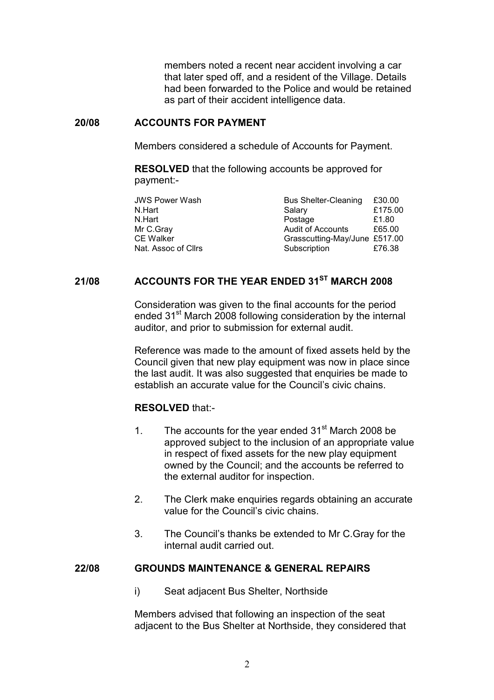members noted a recent near accident involving a car that later sped off, and a resident of the Village. Details had been forwarded to the Police and would be retained as part of their accident intelligence data.

## 20/08 ACCOUNTS FOR PAYMENT

Members considered a schedule of Accounts for Payment.

RESOLVED that the following accounts be approved for payment:-

| <b>JWS Power Wash</b> | <b>Bus Shelter-Cleaning</b>   | £30.00  |
|-----------------------|-------------------------------|---------|
| N.Hart                | Salary                        | £175.00 |
| N.Hart                | Postage                       | £1.80   |
| Mr C.Gray             | <b>Audit of Accounts</b>      | £65.00  |
| <b>CE Walker</b>      | Grasscutting-May/June £517.00 |         |
| Nat. Assoc of Cllrs   | Subscription                  | £76.38  |

# 21/08 ACCOUNTS FOR THE YEAR ENDED 31<sup>ST</sup> MARCH 2008

Consideration was given to the final accounts for the period ended 31<sup>st</sup> March 2008 following consideration by the internal auditor, and prior to submission for external audit.

Reference was made to the amount of fixed assets held by the Council given that new play equipment was now in place since the last audit. It was also suggested that enquiries be made to establish an accurate value for the Council's civic chains.

# RESOLVED that:-

- 1. The accounts for the year ended  $31<sup>st</sup>$  March 2008 be approved subject to the inclusion of an appropriate value in respect of fixed assets for the new play equipment owned by the Council; and the accounts be referred to the external auditor for inspection.
- 2. The Clerk make enquiries regards obtaining an accurate value for the Council's civic chains.
- 3. The Council's thanks be extended to Mr C.Gray for the internal audit carried out.

#### 22/08 GROUNDS MAINTENANCE & GENERAL REPAIRS

i) Seat adjacent Bus Shelter, Northside

 Members advised that following an inspection of the seat adjacent to the Bus Shelter at Northside, they considered that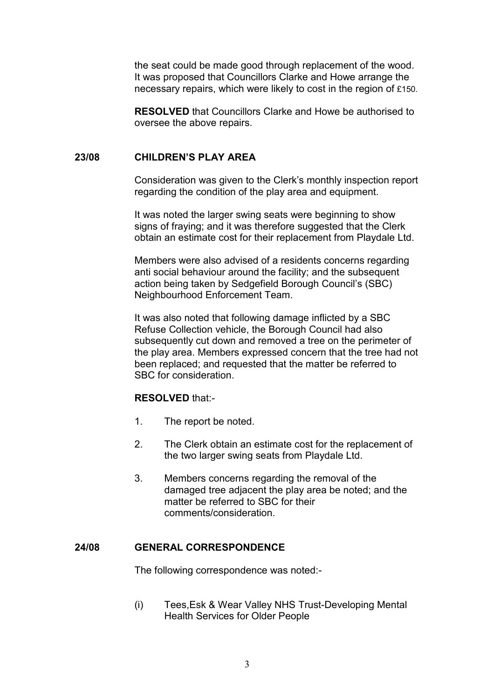the seat could be made good through replacement of the wood. It was proposed that Councillors Clarke and Howe arrange the necessary repairs, which were likely to cost in the region of £150.

RESOLVED that Councillors Clarke and Howe be authorised to oversee the above repairs.

#### 23/08 CHILDREN'S PLAY AREA

Consideration was given to the Clerk's monthly inspection report regarding the condition of the play area and equipment.

It was noted the larger swing seats were beginning to show signs of fraying; and it was therefore suggested that the Clerk obtain an estimate cost for their replacement from Playdale Ltd.

Members were also advised of a residents concerns regarding anti social behaviour around the facility; and the subsequent action being taken by Sedgefield Borough Council's (SBC) Neighbourhood Enforcement Team.

It was also noted that following damage inflicted by a SBC Refuse Collection vehicle, the Borough Council had also subsequently cut down and removed a tree on the perimeter of the play area. Members expressed concern that the tree had not been replaced; and requested that the matter be referred to SBC for consideration.

#### RESOLVED that:-

- 1. The report be noted.
- 2. The Clerk obtain an estimate cost for the replacement of the two larger swing seats from Playdale Ltd.
- 3. Members concerns regarding the removal of the damaged tree adjacent the play area be noted; and the matter be referred to SBC for their comments/consideration.

#### 24/08 GENERAL CORRESPONDENCE

The following correspondence was noted:-

(i) Tees,Esk & Wear Valley NHS Trust-Developing Mental Health Services for Older People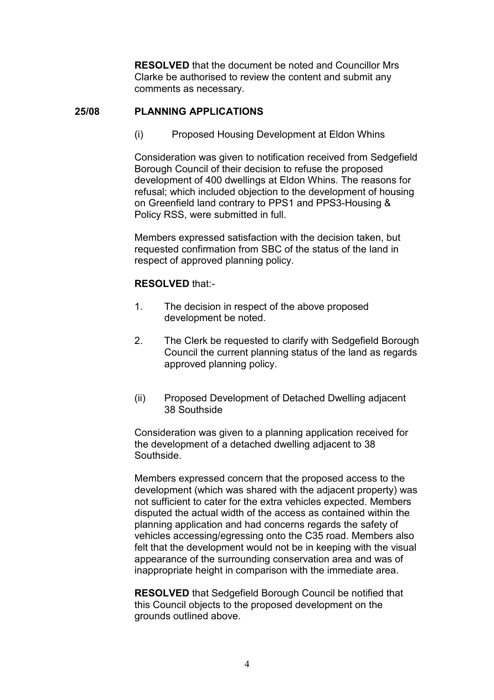RESOLVED that the document be noted and Councillor Mrs Clarke be authorised to review the content and submit any comments as necessary.

# 25/08 PLANNING APPLICATIONS

(i) Proposed Housing Development at Eldon Whins

Consideration was given to notification received from Sedgefield Borough Council of their decision to refuse the proposed development of 400 dwellings at Eldon Whins. The reasons for refusal; which included objection to the development of housing on Greenfield land contrary to PPS1 and PPS3-Housing & Policy RSS, were submitted in full.

 Members expressed satisfaction with the decision taken, but requested confirmation from SBC of the status of the land in respect of approved planning policy.

# RESOLVED that:-

- 1. The decision in respect of the above proposed development be noted.
- 2. The Clerk be requested to clarify with Sedgefield Borough Council the current planning status of the land as regards approved planning policy.
- (ii) Proposed Development of Detached Dwelling adjacent 38 Southside

 Consideration was given to a planning application received for the development of a detached dwelling adjacent to 38 Southside.

 Members expressed concern that the proposed access to the development (which was shared with the adjacent property) was not sufficient to cater for the extra vehicles expected. Members disputed the actual width of the access as contained within the planning application and had concerns regards the safety of vehicles accessing/egressing onto the C35 road. Members also felt that the development would not be in keeping with the visual appearance of the surrounding conservation area and was of inappropriate height in comparison with the immediate area.

RESOLVED that Sedgefield Borough Council be notified that this Council objects to the proposed development on the grounds outlined above.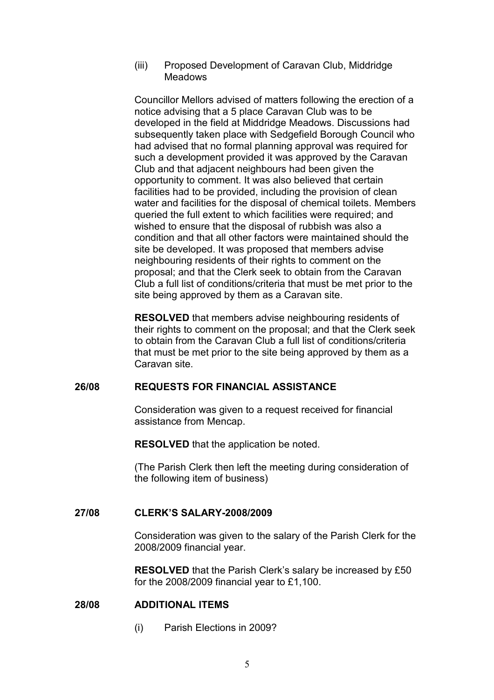#### (iii) Proposed Development of Caravan Club, Middridge **Meadows**

 Councillor Mellors advised of matters following the erection of a notice advising that a 5 place Caravan Club was to be developed in the field at Middridge Meadows. Discussions had subsequently taken place with Sedgefield Borough Council who had advised that no formal planning approval was required for such a development provided it was approved by the Caravan Club and that adjacent neighbours had been given the opportunity to comment. It was also believed that certain facilities had to be provided, including the provision of clean water and facilities for the disposal of chemical toilets. Members queried the full extent to which facilities were required; and wished to ensure that the disposal of rubbish was also a condition and that all other factors were maintained should the site be developed. It was proposed that members advise neighbouring residents of their rights to comment on the proposal; and that the Clerk seek to obtain from the Caravan Club a full list of conditions/criteria that must be met prior to the site being approved by them as a Caravan site.

RESOLVED that members advise neighbouring residents of their rights to comment on the proposal; and that the Clerk seek to obtain from the Caravan Club a full list of conditions/criteria that must be met prior to the site being approved by them as a Caravan site.

## 26/08 REQUESTS FOR FINANCIAL ASSISTANCE

Consideration was given to a request received for financial assistance from Mencap.

RESOLVED that the application be noted.

(The Parish Clerk then left the meeting during consideration of the following item of business)

# 27/08 CLERK'S SALARY-2008/2009

Consideration was given to the salary of the Parish Clerk for the 2008/2009 financial year.

RESOLVED that the Parish Clerk's salary be increased by £50 for the 2008/2009 financial year to £1,100.

# 28/08 ADDITIONAL ITEMS

(i) Parish Elections in 2009?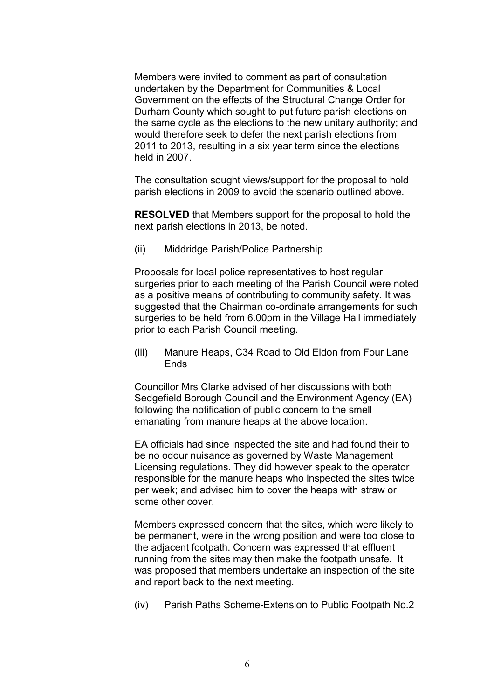Members were invited to comment as part of consultation undertaken by the Department for Communities & Local Government on the effects of the Structural Change Order for Durham County which sought to put future parish elections on the same cycle as the elections to the new unitary authority; and would therefore seek to defer the next parish elections from 2011 to 2013, resulting in a six year term since the elections held in 2007.

The consultation sought views/support for the proposal to hold parish elections in 2009 to avoid the scenario outlined above.

RESOLVED that Members support for the proposal to hold the next parish elections in 2013, be noted.

(ii) Middridge Parish/Police Partnership

Proposals for local police representatives to host regular surgeries prior to each meeting of the Parish Council were noted as a positive means of contributing to community safety. It was suggested that the Chairman co-ordinate arrangements for such surgeries to be held from 6.00pm in the Village Hall immediately prior to each Parish Council meeting.

(iii) Manure Heaps, C34 Road to Old Eldon from Four Lane **Ends** 

Councillor Mrs Clarke advised of her discussions with both Sedgefield Borough Council and the Environment Agency (EA) following the notification of public concern to the smell emanating from manure heaps at the above location.

EA officials had since inspected the site and had found their to be no odour nuisance as governed by Waste Management Licensing regulations. They did however speak to the operator responsible for the manure heaps who inspected the sites twice per week; and advised him to cover the heaps with straw or some other cover.

Members expressed concern that the sites, which were likely to be permanent, were in the wrong position and were too close to the adjacent footpath. Concern was expressed that effluent running from the sites may then make the footpath unsafe. It was proposed that members undertake an inspection of the site and report back to the next meeting.

(iv) Parish Paths Scheme-Extension to Public Footpath No.2